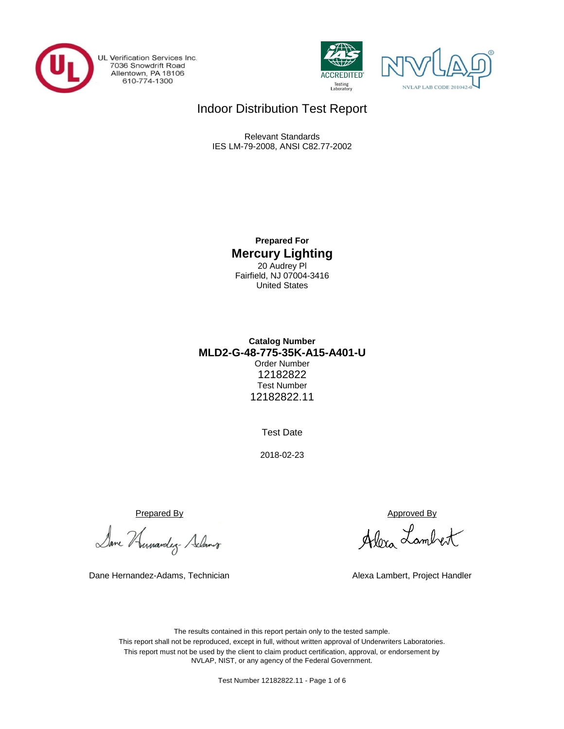

UL Verification Services Inc. 7036 Snowdrift Road<br>Allentown, PA 18106<br>610-774-1300





# Indoor Distribution Test Report

Relevant Standards IES LM-79-2008, ANSI C82.77-2002

> **Prepared For Mercury Lighting** 20 Audrey Pl Fairfield, NJ 07004-3416 United States

# **MLD2-G-48-775-35K-A15-A401-U Catalog Number** Order Number 12182822 Test Number 12182822.11

Test Date

2018-02-23

Prepared By Approved By

Dane Humardez- Adams

Dane Hernandez-Adams, Technician Alexa Lambert, Project Handler

Alexa Lambert

The results contained in this report pertain only to the tested sample. This report shall not be reproduced, except in full, without written approval of Underwriters Laboratories. This report must not be used by the client to claim product certification, approval, or endorsement by NVLAP, NIST, or any agency of the Federal Government.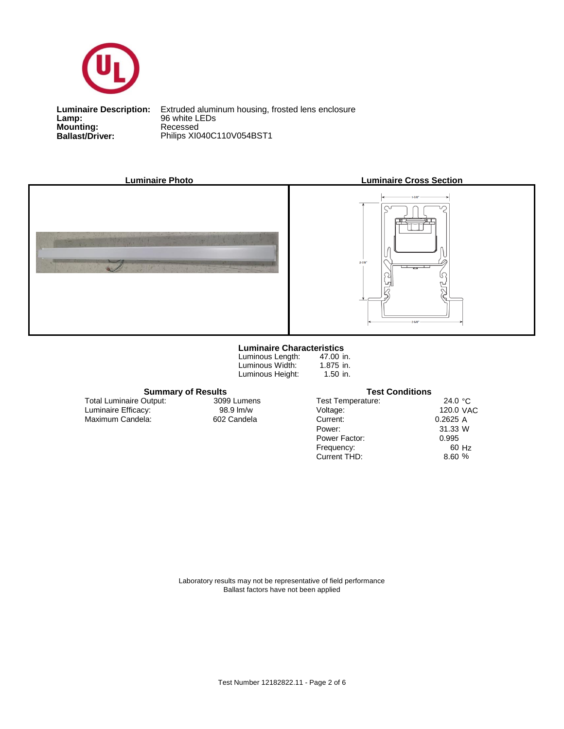

**Lamp:**<br>Mounting:<br>Ballast/Driver: **Lamp:** 96 white LEDs

**Ballast/Driver:** Philips XI040C110V054BST1 **Luminaire Description:** Extruded aluminum housing, frosted lens enclosure







#### **Luminaire Characteristics**

Luminous Length: Luminous Width: Luminous Height:

47.00 in. 1.875 in. 1.50 in.

# **Summary of Results Test Conditions**

Maximum Candela: 602 Candela Luminaire Efficacy: Total Luminaire Output:

3099 Lumens

| 24.0 $\degree$ C |
|------------------|
| 120.0 VAC        |
| 0.2625A          |
| 31.33 W          |
| 0.995            |
| 60 Hz            |
| 8.60%            |
|                  |

Laboratory results may not be representative of field performance Ballast factors have not been applied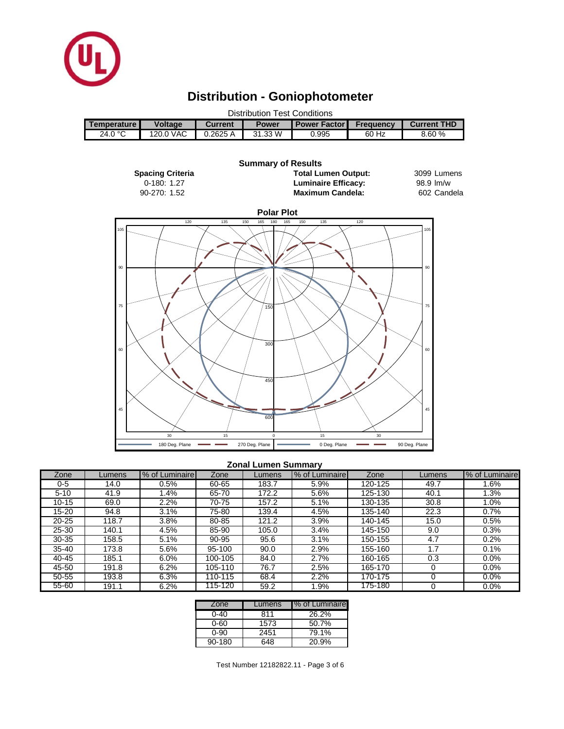

# **Distribution - Goniophotometer**

| <b>Distribution Test Conditions</b> |                |                |              |                         |           |                    |  |  |  |
|-------------------------------------|----------------|----------------|--------------|-------------------------|-----------|--------------------|--|--|--|
| <b>Temperature I</b>                | <b>Voltage</b> | <b>Current</b> | <b>Power</b> | <b>I Power Factor I</b> | Frequency | <b>Current THD</b> |  |  |  |
| 24.0 $^{\circ}$ C                   | 120.0 VAC      | 0.2625A        | 31.33 W      | 0.995                   | 60 Hz     | 8.60 %             |  |  |  |
|                                     |                |                |              |                         |           |                    |  |  |  |



### **Zonal Lumen Summary**

| Zone      | _umens | % of Luminaire | Zone    | Lumens | % of Luminaire | Zone    | Lumens | % of Luminaire |
|-----------|--------|----------------|---------|--------|----------------|---------|--------|----------------|
| 0-5       | 14.0   | 0.5%           | 60-65   | 183.7  | 5.9%           | 120-125 | 49.7   | 1.6%           |
| $5 - 10$  | 41.9   | l.4%           | 65-70   | 172.2  | 5.6%           | 125-130 | 40.1   | $1.3\%$        |
| $10 - 15$ | 69.0   | 2.2%           | 70-75   | 157.2  | 5.1%           | 130-135 | 30.8   | 1.0%           |
| 15-20     | 94.8   | 3.1%           | 75-80   | 139.4  | 4.5%           | 135-140 | 22.3   | 0.7%           |
| $20 - 25$ | 118.7  | 3.8%           | 80-85   | 121.2  | 3.9%           | 140-145 | 15.0   | 0.5%           |
| $25 - 30$ | 140.1  | 4.5%           | 85-90   | 105.0  | 3.4%           | 145-150 | 9.0    | 0.3%           |
| $30 - 35$ | 158.5  | 5.1%           | 90-95   | 95.6   | 3.1%           | 150-155 | 4.7    | 0.2%           |
| $35 - 40$ | 173.8  | 5.6%           | 95-100  | 90.0   | 2.9%           | 155-160 | 1.7    | 0.1%           |
| 40-45     | 185.1  | 6.0%           | 100-105 | 84.0   | 2.7%           | 160-165 | 0.3    | 0.0%           |
| 45-50     | 191.8  | 6.2%           | 105-110 | 76.7   | 2.5%           | 165-170 |        | $0.0\%$        |
| 50-55     | 193.8  | 6.3%           | 110-115 | 68.4   | 2.2%           | 170-175 |        | 0.0%           |
| $55 - 60$ | 191.1  | 6.2%           | 115-120 | 59.2   | .9%            | 175-180 |        | 0.0%           |

| Zone       | Lumens | % of Luminaire |
|------------|--------|----------------|
| ი-4ი       | 811    | 26.2%          |
| 0-60       | 1573   | 50.7%          |
| 0-90       | 2451   | 79.1%          |
| $90 - 180$ | 648    | 20.9%          |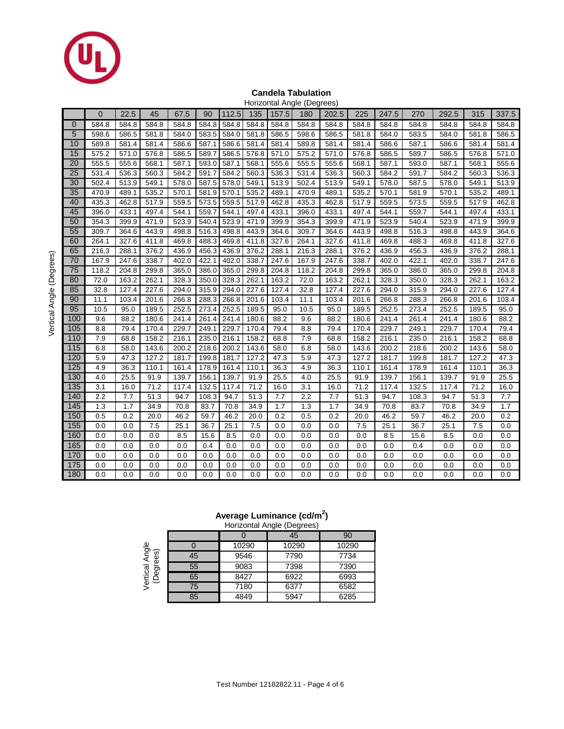

#### **Candela Tabulation** Horizontal Angle (Degrees)

|             |              |       |       |       |       |       |       |       | HUILLUITTAI AITUIG (Deglees) |       |       |       |       |       |       |       |
|-------------|--------------|-------|-------|-------|-------|-------|-------|-------|------------------------------|-------|-------|-------|-------|-------|-------|-------|
|             | $\mathbf{0}$ | 22.5  | 45    | 67.5  | 90    | 112.5 | 135   | 157.5 | 180                          | 202.5 | 225   | 247.5 | 270   | 292.5 | 315   | 337.5 |
| $\mathbf 0$ | 584.8        | 584.8 | 584.8 | 584.8 | 584.8 | 584.8 | 584.8 | 584.8 | 584.8                        | 584.8 | 584.8 | 584.8 | 584.8 | 584.8 | 584.8 | 584.8 |
| 5           | 598.6        | 586.5 | 581.8 | 584.0 | 583.5 | 584.0 | 581.8 | 586.5 | 598.6                        | 586.5 | 581.8 | 584.0 | 583.5 | 584.0 | 581.8 | 586.5 |
| 10          | 589.8        | 581.4 | 581.4 | 586.6 | 587.1 | 586.6 | 581.4 | 581.4 | 589.8                        | 581.4 | 581.4 | 586.6 | 587.1 | 586.6 | 581.4 | 581.4 |
| 15          | 575.2        | 571.0 | 576.8 | 586.5 | 589.7 | 586.5 | 576.8 | 571.0 | 575.2                        | 571.0 | 576.8 | 586.5 | 589.7 | 586.5 | 576.8 | 571.0 |
| 20          | 555.5        | 555.6 | 568.1 | 587.1 | 593.0 | 587.1 | 568.1 | 555.6 | 555.5                        | 555.6 | 568.1 | 587.1 | 593.0 | 587.1 | 568.1 | 555.6 |
| 25          | 531.4        | 536.3 | 560.3 | 584.2 | 591.7 | 584.2 | 560.3 | 536.3 | 531.4                        | 536.3 | 560.3 | 584.2 | 591.7 | 584.2 | 560.3 | 536.3 |
| 30          | 502.4        | 513.9 | 549.1 | 578.0 | 587.5 | 578.0 | 549.1 | 513.9 | 502.4                        | 513.9 | 549.1 | 578.0 | 587.5 | 578.0 | 549.1 | 513.9 |
| 35          | 470.9        | 489.1 | 535.2 | 570.1 | 581.9 | 570.1 | 535.2 | 489.1 | 470.9                        | 489.1 | 535.2 | 570.1 | 581.9 | 570.1 | 535.2 | 489.1 |
| 40          | 435.3        | 462.8 | 517.9 | 559.5 | 573.5 | 559.5 | 517.9 | 462.8 | 435.3                        | 462.8 | 517.9 | 559.5 | 573.5 | 559.5 | 517.9 | 462.8 |
| 45          | 396.0        | 433.1 | 497.4 | 544.1 | 559.7 | 544.1 | 497.4 | 433.1 | 396.0                        | 433.1 | 497.4 | 544.1 | 559.7 | 544.1 | 497.4 | 433.1 |
| 50          | 354.3        | 399.9 | 471.9 | 523.9 | 540.4 | 523.9 | 471.9 | 399.9 | 354.3                        | 399.9 | 471.9 | 523.9 | 540.4 | 523.9 | 471.9 | 399.9 |
| 55          | 309.7        | 364.6 | 443.9 | 498.8 | 516.3 | 498.8 | 443.9 | 364.6 | 309.7                        | 364.6 | 443.9 | 498.8 | 516.3 | 498.8 | 443.9 | 364.6 |
| 60          | 264.1        | 327.6 | 411.8 | 469.8 | 488.3 | 469.8 | 411.8 | 327.6 | 264.1                        | 327.6 | 411.8 | 469.8 | 488.3 | 469.8 | 411.8 | 327.6 |
| 65          | 216.3        | 288.1 | 376.2 | 436.9 | 456.3 | 436.9 | 376.2 | 288.1 | 216.3                        | 288.1 | 376.2 | 436.9 | 456.3 | 436.9 | 376.2 | 288.1 |
| 70          | 167.9        | 247.6 | 338.7 | 402.0 | 422.1 | 402.0 | 338.7 | 247.6 | 167.9                        | 247.6 | 338.7 | 402.0 | 422.1 | 402.0 | 338.7 | 247.6 |
| 75          | 118.2        | 204.8 | 299.8 | 365.0 | 386.0 | 365.0 | 299.8 | 204.8 | 118.2                        | 204.8 | 299.8 | 365.0 | 386.0 | 365.0 | 299.8 | 204.8 |
| 80          | 72.0         | 163.2 | 262.1 | 328.3 | 350.0 | 328.3 | 262.1 | 163.2 | 72.0                         | 163.2 | 262.1 | 328.3 | 350.0 | 328.3 | 262.1 | 163.2 |
| 85          | 32.8         | 127.4 | 227.6 | 294.0 | 315.9 | 294.0 | 227.6 | 127.4 | 32.8                         | 127.4 | 227.6 | 294.0 | 315.9 | 294.0 | 227.6 | 127.4 |
| 90          | 11.1         | 103.4 | 201.6 | 266.8 | 288.3 | 266.8 | 201.6 | 103.4 | 11.1                         | 103.4 | 201.6 | 266.8 | 288.3 | 266.8 | 201.6 | 103.4 |
| 95          | 10.5         | 95.0  | 189.5 | 252.5 | 273.4 | 252.5 | 189.5 | 95.0  | 10.5                         | 95.0  | 189.5 | 252.5 | 273.4 | 252.5 | 189.5 | 95.0  |
| 100         | 9.6          | 88.2  | 180.6 | 241.4 | 261.4 | 241.4 | 180.6 | 88.2  | 9.6                          | 88.2  | 180.6 | 241.4 | 261.4 | 241.4 | 180.6 | 88.2  |
| 105         | 8.8          | 79.4  | 170.4 | 229.7 | 249.1 | 229.7 | 170.4 | 79.4  | 8.8                          | 79.4  | 170.4 | 229.7 | 249.1 | 229.7 | 170.4 | 79.4  |
| 110         | 7.9          | 68.8  | 158.2 | 216.1 | 235.0 | 216.1 | 158.2 | 68.8  | 7.9                          | 68.8  | 158.2 | 216.1 | 235.0 | 216.1 | 158.2 | 68.8  |
| 115         | 6.8          | 58.0  | 143.6 | 200.2 | 218.6 | 200.2 | 143.6 | 58.0  | 6.8                          | 58.0  | 143.6 | 200.2 | 218.6 | 200.2 | 143.6 | 58.0  |
| 120         | 5.9          | 47.3  | 127.2 | 181.7 | 199.8 | 181.7 | 127.2 | 47.3  | 5.9                          | 47.3  | 127.2 | 181.7 | 199.8 | 181.7 | 127.2 | 47.3  |
| 125         | 4.9          | 36.3  | 110.1 | 161.4 | 178.9 | 161.4 | 110.1 | 36.3  | 4.9                          | 36.3  | 110.1 | 161.4 | 178.9 | 161.4 | 110.1 | 36.3  |
| 130         | 4.0          | 25.5  | 91.9  | 139.7 | 156.1 | 139.7 | 91.9  | 25.5  | 4.0                          | 25.5  | 91.9  | 139.7 | 156.1 | 139.7 | 91.9  | 25.5  |
| 135         | 3.1          | 16.0  | 71.2  | 117.4 | 132.5 | 117.4 | 71.2  | 16.0  | 3.1                          | 16.0  | 71.2  | 117.4 | 132.5 | 117.4 | 71.2  | 16.0  |
| 140         | 2.2          | 7.7   | 51.3  | 94.7  | 108.3 | 94.7  | 51.3  | 7.7   | 2.2                          | 7.7   | 51.3  | 94.7  | 108.3 | 94.7  | 51.3  | 7.7   |
| 145         | 1.3          | 1.7   | 34.9  | 70.8  | 83.7  | 70.8  | 34.9  | 1.7   | 1.3                          | 1.7   | 34.9  | 70.8  | 83.7  | 70.8  | 34.9  | 1.7   |
| 150         | 0.5          | 0.2   | 20.0  | 46.2  | 59.7  | 46.2  | 20.0  | 0.2   | 0.5                          | 0.2   | 20.0  | 46.2  | 59.7  | 46.2  | 20.0  | 0.2   |
| 155         | 0.0          | 0.0   | 7.5   | 25.1  | 36.7  | 25.1  | 7.5   | 0.0   | 0.0                          | 0.0   | 7.5   | 25.1  | 36.7  | 25.1  | 7.5   | 0.0   |
| 160         | 0.0          | 0.0   | 0.0   | 8.5   | 15.6  | 8.5   | 0.0   | 0.0   | 0.0                          | 0.0   | 0.0   | 8.5   | 15.6  | 8.5   | 0.0   | 0.0   |
| 165         | 0.0          | 0.0   | 0.0   | 0.0   | 0.4   | 0.0   | 0.0   | 0.0   | 0.0                          | 0.0   | 0.0   | 0.0   | 0.4   | 0.0   | 0.0   | 0.0   |
| 170         | 0.0          | 0.0   | 0.0   | 0.0   | 0.0   | 0.0   | 0.0   | 0.0   | 0.0                          | 0.0   | 0.0   | 0.0   | 0.0   | 0.0   | 0.0   | 0.0   |
| 175         | 0.0          | 0.0   | 0.0   | 0.0   | 0.0   | 0.0   | 0.0   | 0.0   | 0.0                          | 0.0   | 0.0   | 0.0   | 0.0   | 0.0   | 0.0   | 0.0   |
| 180         | 0.0          | 0.0   | 0.0   | 0.0   | 0.0   | 0.0   | 0.0   | 0.0   | 0.0                          | 0.0   | 0.0   | 0.0   | 0.0   | 0.0   | 0.0   | 0.0   |

# **Average Luminance (cd/m<sup>2</sup> )**

|                                                |    |       | Horizontal Angle (Degrees) |       |
|------------------------------------------------|----|-------|----------------------------|-------|
|                                                |    |       | 45                         | 90    |
| Angle<br>ses)<br>Ë<br>Vertical<br>(Degre<br>Ğ9 |    | 10290 | 10290                      | 10290 |
|                                                | 45 | 9546  | 7790                       | 7734  |
|                                                | 55 | 9083  | 7398                       | 7390  |
|                                                | 65 | 8427  | 6922                       | 6993  |
|                                                | 75 | 7180  | 6377                       | 6582  |
|                                                | 85 | 4849  | 5947                       | 6285  |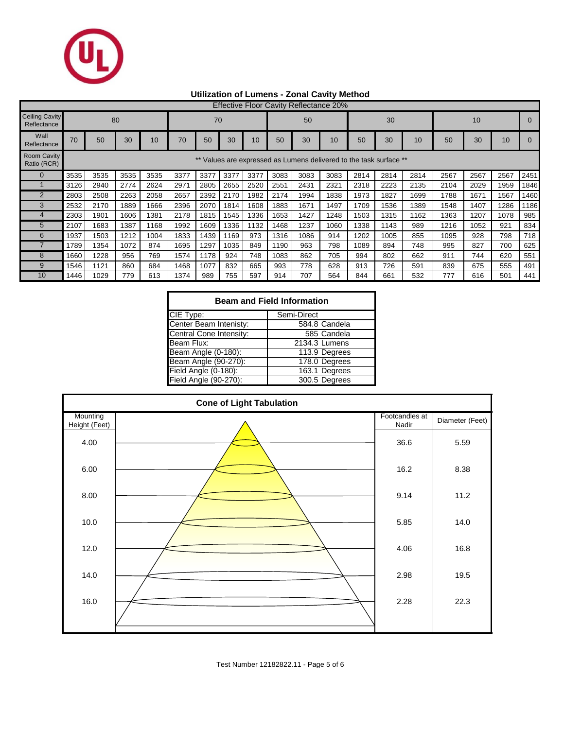

# **Utilization of Lumens - Zonal Cavity Method**

|                                      | <b>Effective Floor Cavity Reflectance 20%</b>                   |          |      |      |      |      |      |      |      |      |      |      |      |      |      |      |      |      |
|--------------------------------------|-----------------------------------------------------------------|----------|------|------|------|------|------|------|------|------|------|------|------|------|------|------|------|------|
| <b>Ceiling Cavity</b><br>Reflectance |                                                                 | 80<br>70 |      |      |      |      |      |      | 50   |      |      | 30   |      |      | 10   |      |      |      |
| Wall<br>Reflectance                  | 70                                                              | 50       | 30   | 10   | 70   | 50   | 30   | 10   | 50   | 30   | 10   | 50   | 30   | 10   | 50   | 30   | 10   |      |
| <b>Room Cavity</b><br>Ratio (RCR)    | Values are expressed as Lumens delivered to the task surface ** |          |      |      |      |      |      |      |      |      |      |      |      |      |      |      |      |      |
|                                      | 3535                                                            | 3535     | 3535 | 3535 | 3377 | 3377 | 3377 | 3377 | 3083 | 3083 | 3083 | 2814 | 2814 | 2814 | 2567 | 2567 | 2567 | 2451 |
|                                      | 3126                                                            | 2940     | 2774 | 2624 | 2971 | 2805 | 2655 | 2520 | 2551 | 2431 | 2321 | 2318 | 2223 | 2135 | 2104 | 2029 | 1959 | 1846 |
| $\overline{2}$                       | 2803                                                            | 2508     | 2263 | 2058 | 2657 | 2392 | 2170 | 1982 | 2174 | 1994 | 1838 | 1973 | 1827 | 1699 | 1788 | 1671 | 1567 | 1460 |
| 3                                    | 2532                                                            | 2170     | 1889 | 1666 | 2396 | 2070 | 1814 | 1608 | 1883 | 1671 | 1497 | 1709 | 1536 | 1389 | 1548 | 1407 | 1286 | 1186 |
|                                      | 2303                                                            | 1901     | 1606 | 1381 | 2178 | 1815 | 1545 | 1336 | 1653 | 1427 | 1248 | 1503 | 1315 | 1162 | 1363 | 1207 | 1078 | 985  |
| 5                                    | 2107                                                            | 1683     | 1387 | 1168 | 1992 | 1609 | 1336 | 1132 | 1468 | 1237 | 1060 | 1338 | 1143 | 989  | 1216 | 1052 | 921  | 834  |
| 6                                    | 1937                                                            | 1503     | 1212 | 1004 | 1833 | 1439 | 1169 | 973  | 1316 | 1086 | 914  | 1202 | 1005 | 855  | 1095 | 928  | 798  | 718  |
|                                      | 1789                                                            | 1354     | 1072 | 874  | 1695 | 1297 | 1035 | 849  | 1190 | 963  | 798  | 1089 | 894  | 748  | 995  | 827  | 700  | 625  |
| 8                                    | 1660                                                            | 1228     | 956  | 769  | 1574 | 1178 | 924  | 748  | 1083 | 862  | 705  | 994  | 802  | 662  | 911  | 744  | 620  | 551  |
| 9                                    | 1546                                                            | 1121     | 860  | 684  | 1468 | 1077 | 832  | 665  | 993  | 778  | 628  | 913  | 726  | 591  | 839  | 675  | 555  | 491  |
| 10                                   | 1446                                                            | 1029     | 779  | 613  | 1374 | 989  | 755  | 597  | 914  | 707  | 564  | 844  | 661  | 532  | 777  | 616  | 501  | 441  |

| <b>Beam and Field Information</b> |               |  |  |  |  |  |  |  |
|-----------------------------------|---------------|--|--|--|--|--|--|--|
| CIE Type:                         | Semi-Direct   |  |  |  |  |  |  |  |
| Center Beam Intenisty:            | 584.8 Candela |  |  |  |  |  |  |  |
| Central Cone Intensity:           | 585 Candela   |  |  |  |  |  |  |  |
| Beam Flux:                        | 2134.3 Lumens |  |  |  |  |  |  |  |
| Beam Angle (0-180):               | 113.9 Degrees |  |  |  |  |  |  |  |
| Beam Angle (90-270):              | 178.0 Degrees |  |  |  |  |  |  |  |
| Field Angle (0-180):              | 163.1 Degrees |  |  |  |  |  |  |  |
| Field Angle (90-270):             | 300.5 Degrees |  |  |  |  |  |  |  |